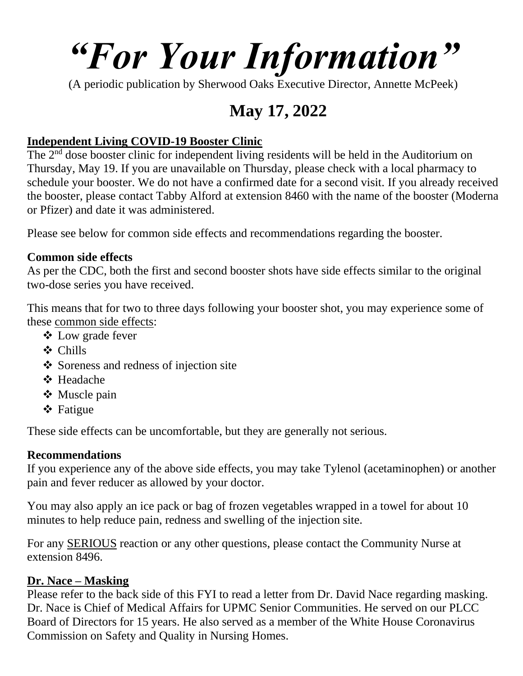# *"For Your Information"*

(A periodic publication by Sherwood Oaks Executive Director, Annette McPeek)

### **May 17, 2022**

#### **Independent Living COVID-19 Booster Clinic**

The 2<sup>nd</sup> dose booster clinic for independent living residents will be held in the Auditorium on Thursday, May 19. If you are unavailable on Thursday, please check with a local pharmacy to schedule your booster. We do not have a confirmed date for a second visit. If you already received the booster, please contact Tabby Alford at extension 8460 with the name of the booster (Moderna or Pfizer) and date it was administered.

Please see below for common side effects and recommendations regarding the booster.

#### **Common side effects**

As per the CDC, both the first and second booster shots have side effects similar to the original two-dose series you have received.

This means that for two to three days following your booster shot, you may experience some of these common side effects:

- ❖ Low grade fever
- ❖ Chills
- ❖ Soreness and redness of injection site
- ❖ Headache
- ❖ Muscle pain
- ❖ Fatigue

These side effects can be uncomfortable, but they are generally not serious.

#### **Recommendations**

If you experience any of the above side effects, you may take Tylenol (acetaminophen) or another pain and fever reducer as allowed by your doctor.

You may also apply an ice pack or bag of frozen vegetables wrapped in a towel for about 10 minutes to help reduce pain, redness and swelling of the injection site.

For any SERIOUS reaction or any other questions, please contact the Community Nurse at extension 8496.

#### **Dr. Nace – Masking**

Please refer to the back side of this FYI to read a letter from Dr. David Nace regarding masking. Dr. Nace is Chief of Medical Affairs for UPMC Senior Communities. He served on our PLCC Board of Directors for 15 years. He also served as a member of the White House Coronavirus Commission on Safety and Quality in Nursing Homes.